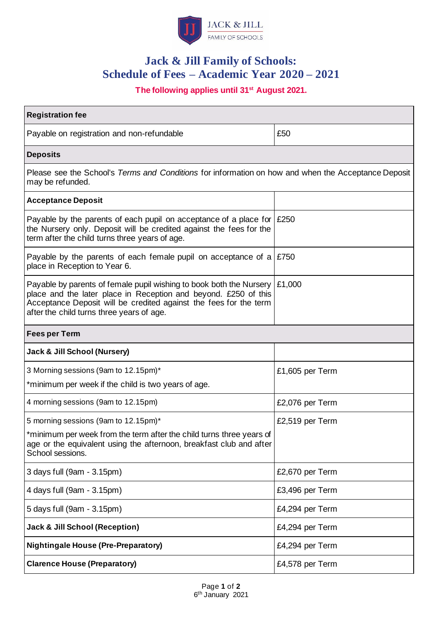

# **Jack & Jill Family of Schools: Schedule of Fees – Academic Year 2020 – 2021**

# **The following applies until 31st August 2021.**

| <b>Registration fee</b>                                                                                                                                                                                                                                  |                 |
|----------------------------------------------------------------------------------------------------------------------------------------------------------------------------------------------------------------------------------------------------------|-----------------|
| Payable on registration and non-refundable                                                                                                                                                                                                               | £50             |
| <b>Deposits</b>                                                                                                                                                                                                                                          |                 |
| Please see the School's Terms and Conditions for information on how and when the Acceptance Deposit<br>may be refunded.                                                                                                                                  |                 |
| <b>Acceptance Deposit</b>                                                                                                                                                                                                                                |                 |
| Payable by the parents of each pupil on acceptance of a place for $\mid$ £250<br>the Nursery only. Deposit will be credited against the fees for the<br>term after the child turns three years of age.                                                   |                 |
| Payable by the parents of each female pupil on acceptance of a<br>place in Reception to Year 6.                                                                                                                                                          | £750            |
| Payable by parents of female pupil wishing to book both the Nursery<br>place and the later place in Reception and beyond. £250 of this<br>Acceptance Deposit will be credited against the fees for the term<br>after the child turns three years of age. | £1,000          |
| <b>Fees per Term</b>                                                                                                                                                                                                                                     |                 |
| Jack & Jill School (Nursery)                                                                                                                                                                                                                             |                 |
| 3 Morning sessions (9am to 12.15pm)*                                                                                                                                                                                                                     | £1,605 per Term |
| *minimum per week if the child is two years of age.                                                                                                                                                                                                      |                 |
| 4 morning sessions (9am to 12.15pm)                                                                                                                                                                                                                      | £2,076 per Term |
| 5 morning sessions (9am to 12.15pm)*                                                                                                                                                                                                                     | £2,519 per Term |
| *minimum per week from the term after the child turns three years of<br>age or the equivalent using the afternoon, breakfast club and after<br>School sessions.                                                                                          |                 |
| 3 days full (9am - 3.15pm)                                                                                                                                                                                                                               | £2,670 per Term |
| 4 days full (9am - 3.15pm)                                                                                                                                                                                                                               | £3,496 per Term |
| 5 days full (9am - 3.15pm)                                                                                                                                                                                                                               | £4,294 per Term |
| <b>Jack &amp; Jill School (Reception)</b>                                                                                                                                                                                                                | £4,294 per Term |
| <b>Nightingale House (Pre-Preparatory)</b>                                                                                                                                                                                                               | £4,294 per Term |
| <b>Clarence House (Preparatory)</b>                                                                                                                                                                                                                      | £4,578 per Term |